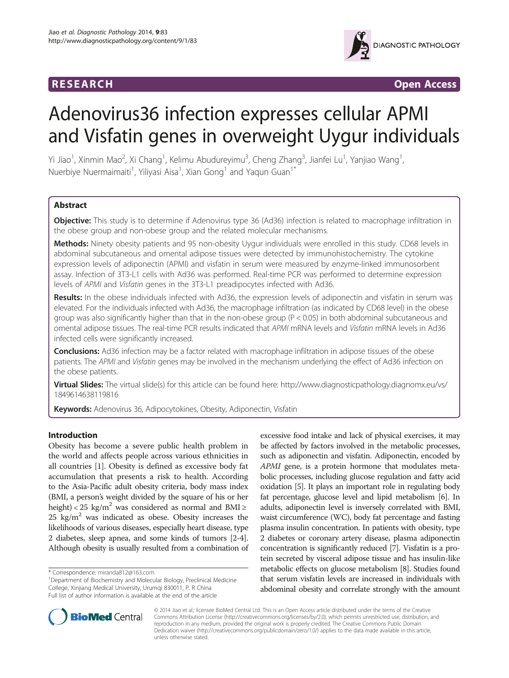

**RESEARCH RESEARCH** *CHECKER CHECKER CONTROLLER CHECKER CHECKER CHECKER CHECKER CHECKER CHECKER* **CHECKER CHECKER** 

# Adenovirus36 infection expresses cellular APMI and Visfatin genes in overweight Uygur individuals

Yi Jiao<sup>1</sup>, Xinmin Mao<sup>2</sup>, Xi Chang<sup>1</sup>, Kelimu Abudureyimu<sup>3</sup>, Cheng Zhang<sup>3</sup>, Jianfei Lu<sup>1</sup>, Yanjiao Wang<sup>1</sup> , Nuerbiye Nuermaimaiti<sup>1</sup>, Yiliyasi Aisa<sup>1</sup>, Xian Gong<sup>1</sup> and Yaqun Guan<sup>1\*</sup>

# Abstract

**Objective:** This study is to determine if Adenovirus type 36 (Ad36) infection is related to macrophage infiltration in the obese group and non-obese group and the related molecular mechanisms.

Methods: Ninety obesity patients and 95 non-obesity Uygur individuals were enrolled in this study. CD68 levels in abdominal subcutaneous and omental adipose tissues were detected by immunohistochemistry. The cytokine expression levels of adiponectin (APMI) and visfatin in serum were measured by enzyme-linked immunosorbent assay. Infection of 3T3-L1 cells with Ad36 was performed. Real-time PCR was performed to determine expression levels of APMI and Visfatin genes in the 3T3-L1 preadipocytes infected with Ad36.

Results: In the obese individuals infected with Ad36, the expression levels of adiponectin and visfatin in serum was elevated. For the individuals infected with Ad36, the macrophage infiltration (as indicated by CD68 level) in the obese group was also significantly higher than that in the non-obese group (P < 0.05) in both abdominal subcutaneous and omental adipose tissues. The real-time PCR results indicated that APMI mRNA levels and Visfatin mRNA levels in Ad36 infected cells were significantly increased.

**Conclusions:** Ad36 infection may be a factor related with macrophage infiltration in adipose tissues of the obese patients. The APMI and Visfatin genes may be involved in the mechanism underlying the effect of Ad36 infection on the obese patients.

Virtual Slides: The virtual slide(s) for this article can be found here: [http://www.diagnosticpathology.diagnomx.eu/vs/](http://www.diagnosticpathology.diagnomx.eu/vs/1849614638119816) [1849614638119816](http://www.diagnosticpathology.diagnomx.eu/vs/1849614638119816)

Keywords: Adenovirus 36, Adipocytokines, Obesity, Adiponectin, Visfatin

# Introduction

Obesity has become a severe public health problem in the world and affects people across various ethnicities in all countries [[1\]](#page-5-0). Obesity is defined as excessive body fat accumulation that presents a risk to health. According to the Asia-Pacific adult obesity criteria, body mass index (BMI, a person's weight divided by the square of his or her height) < 25 kg/m<sup>2</sup> was considered as normal and BMI ≥  $25 \text{ kg/m}^2$  was indicated as obese. Obesity increases the likelihoods of various diseases, especially heart disease, type 2 diabetes, sleep apnea, and some kinds of tumors [\[2](#page-5-0)-[4](#page-5-0)]. Although obesity is usually resulted from a combination of

excessive food intake and lack of physical exercises, it may be affected by factors involved in the metabolic processes, such as adiponectin and visfatin. Adiponectin, encoded by APMI gene, is a protein hormone that modulates metabolic processes, including glucose regulation and fatty acid oxidation [[5\]](#page-5-0). It plays an important role in regulating body fat percentage, glucose level and lipid metabolism [\[6\]](#page-5-0). In adults, adiponectin level is inversely correlated with BMI, waist circumference (WC), body fat percentage and fasting plasma insulin concentration. In patients with obesity, type 2 diabetes or coronary artery disease, plasma adiponectin concentration is significantly reduced [\[7\]](#page-5-0). Visfatin is a protein secreted by visceral adipose tissue and has insulin-like metabolic effects on glucose metabolism [\[8\]](#page-5-0). Studies found that serum visfatin levels are increased in individuals with abdominal obesity and correlate strongly with the amount



© 2014 Jiao et al.; licensee BioMed Central Ltd. This is an Open Access article distributed under the terms of the Creative Commons Attribution License [\(http://creativecommons.org/licenses/by/2.0\)](http://creativecommons.org/licenses/by/2.0), which permits unrestricted use, distribution, and reproduction in any medium, provided the original work is properly credited. The Creative Commons Public Domain Dedication waiver [\(http://creativecommons.org/publicdomain/zero/1.0/](http://creativecommons.org/publicdomain/zero/1.0/)) applies to the data made available in this article, unless otherwise stated.

<sup>\*</sup> Correspondence: [miranda812@163.com](mailto:miranda812@163.com) <sup>1</sup>

<sup>&</sup>lt;sup>1</sup>Department of Biochemistry and Molecular Biology, Preclinical Medicine College, Xinjiang Medical University, Urumqi 830011, P. R China Full list of author information is available at the end of the article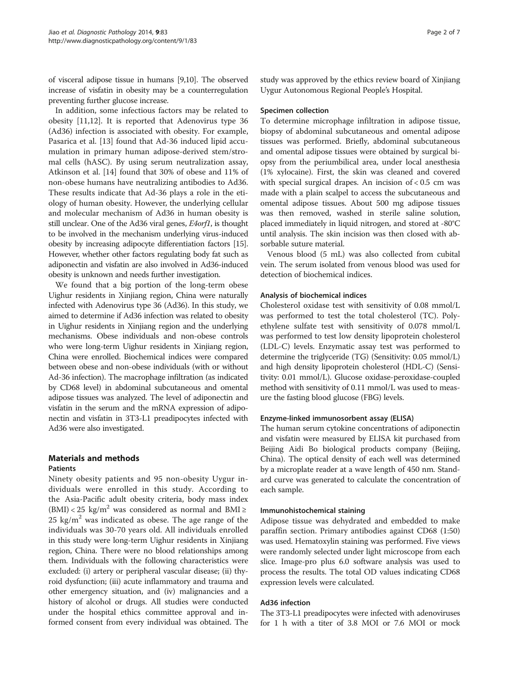of visceral adipose tissue in humans [[9,10\]](#page-5-0). The observed increase of visfatin in obesity may be a counterregulation preventing further glucose increase.

In addition, some infectious factors may be related to obesity [\[11,12\]](#page-5-0). It is reported that Adenovirus type 36 (Ad36) infection is associated with obesity. For example, Pasarica et al. [[13](#page-5-0)] found that Ad-36 induced lipid accumulation in primary human adipose-derived stem/stromal cells (hASC). By using serum neutralization assay, Atkinson et al. [[14\]](#page-5-0) found that 30% of obese and 11% of non-obese humans have neutralizing antibodies to Ad36. These results indicate that Ad-36 plays a role in the etiology of human obesity. However, the underlying cellular and molecular mechanism of Ad36 in human obesity is still unclear. One of the Ad36 viral genes, *E4orf1*, is thought to be involved in the mechanism underlying virus-induced obesity by increasing adipocyte differentiation factors [\[15](#page-5-0)]. However, whether other factors regulating body fat such as adiponectin and visfatin are also involved in Ad36-induced obesity is unknown and needs further investigation.

We found that a big portion of the long-term obese Uighur residents in Xinjiang region, China were naturally infected with Adenovirus type 36 (Ad36). In this study, we aimed to determine if Ad36 infection was related to obesity in Uighur residents in Xinjiang region and the underlying mechanisms. Obese individuals and non-obese controls who were long-term Uighur residents in Xinjiang region, China were enrolled. Biochemical indices were compared between obese and non-obese individuals (with or without Ad-36 infection). The macrophage infiltration (as indicated by CD68 level) in abdominal subcutaneous and omental adipose tissues was analyzed. The level of adiponectin and visfatin in the serum and the mRNA expression of adiponectin and visfatin in 3T3-L1 preadipocytes infected with Ad36 were also investigated.

# Materials and methods

### **Patients**

Ninety obesity patients and 95 non-obesity Uygur individuals were enrolled in this study. According to the Asia-Pacific adult obesity criteria, body mass index (BMI) < 25 kg/m<sup>2</sup> was considered as normal and BMI ≥ 25 kg/ $m<sup>2</sup>$  was indicated as obese. The age range of the individuals was 30-70 years old. All individuals enrolled in this study were long-term Uighur residents in Xinjiang region, China. There were no blood relationships among them. Individuals with the following characteristics were excluded: (i) artery or peripheral vascular disease; (ii) thyroid dysfunction; (iii) acute inflammatory and trauma and other emergency situation, and (iv) malignancies and a history of alcohol or drugs. All studies were conducted under the hospital ethics committee approval and informed consent from every individual was obtained. The study was approved by the ethics review board of Xinjiang Uygur Autonomous Regional People's Hospital.

#### Specimen collection

To determine microphage infiltration in adipose tissue, biopsy of abdominal subcutaneous and omental adipose tissues was performed. Briefly, abdominal subcutaneous and omental adipose tissues were obtained by surgical biopsy from the periumbilical area, under local anesthesia (1% xylocaine). First, the skin was cleaned and covered with special surgical drapes. An incision of  $< 0.5$  cm was made with a plain scalpel to access the subcutaneous and omental adipose tissues. About 500 mg adipose tissues was then removed, washed in sterile saline solution, placed immediately in liquid nitrogen, and stored at -80°C until analysis. The skin incision was then closed with absorbable suture material.

Venous blood (5 mL) was also collected from cubital vein. The serum isolated from venous blood was used for detection of biochemical indices.

### Analysis of biochemical indices

Cholesterol oxidase test with sensitivity of 0.08 mmol/L was performed to test the total cholesterol (TC). Polyethylene sulfate test with sensitivity of 0.078 mmol/L was performed to test low density lipoprotein cholesterol (LDL-C) levels. Enzymatic assay test was performed to determine the triglyceride (TG) (Sensitivity: 0.05 mmol/L) and high density lipoprotein cholesterol (HDL-C) (Sensitivity: 0.01 mmol/L). Glucose oxidase-peroxidase-coupled method with sensitivity of 0.11 mmol/L was used to measure the fasting blood glucose (FBG) levels.

### Enzyme-linked immunosorbent assay (ELISA)

The human serum cytokine concentrations of adiponectin and visfatin were measured by ELISA kit purchased from Beijing Aidi Bo biological products company (Beijing, China). The optical density of each well was determined by a microplate reader at a wave length of 450 nm. Standard curve was generated to calculate the concentration of each sample.

#### Immunohistochemical staining

Adipose tissue was dehydrated and embedded to make paraffin section. Primary antibodies against CD68 (1:50) was used. Hematoxylin staining was performed. Five views were randomly selected under light microscope from each slice. Image-pro plus 6.0 software analysis was used to process the results. The total OD values indicating CD68 expression levels were calculated.

#### Ad36 infection

The 3T3-L1 preadipocytes were infected with adenoviruses for 1 h with a titer of 3.8 MOI or 7.6 MOI or mock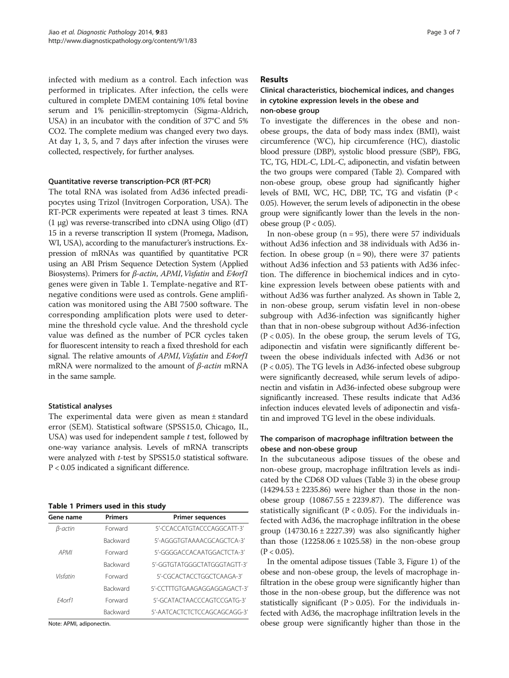infected with medium as a control. Each infection was performed in triplicates. After infection, the cells were cultured in complete DMEM containing 10% fetal bovine serum and 1% penicillin-streptomycin (Sigma-Aldrich, USA) in an incubator with the condition of 37°C and 5% CO2. The complete medium was changed every two days. At day 1, 3, 5, and 7 days after infection the viruses were collected, respectively, for further analyses.

### Quantitative reverse transcription-PCR (RT-PCR)

The total RNA was isolated from Ad36 infected preadipocytes using Trizol (Invitrogen Corporation, USA). The RT-PCR experiments were repeated at least 3 times. RNA (1 μg) was reverse-transcribed into cDNA using Oligo (dT) 15 in a reverse transcription II system (Promega, Madison, WI, USA), according to the manufacturer's instructions. Expression of mRNAs was quantified by quantitative PCR using an ABI Prism Sequence Detection System (Applied Biosystems). Primers for *β-actin, APMI, Visfatin* and *E4orf1* genes were given in Table 1. Template-negative and RTnegative conditions were used as controls. Gene amplification was monitored using the ABI 7500 software. The corresponding amplification plots were used to determine the threshold cycle value. And the threshold cycle value was defined as the number of PCR cycles taken for fluorescent intensity to reach a fixed threshold for each signal. The relative amounts of APMI, Visfatin and E4orf1 mRNA were normalized to the amount of  $\beta$ -actin mRNA in the same sample.

# Statistical analyses

The experimental data were given as mean ± standard error (SEM). Statistical software (SPSS15.0, Chicago, IL, USA) was used for independent sample  $t$  test, followed by one-way variance analysis. Levels of mRNA transcripts were analyzed with *t*-test by SPSS15.0 statistical software. P < 0.05 indicated a significant difference.

### Table 1 Primers used in this study

| Gene name   | <b>Primers</b>  | <b>Primer sequences</b>      |
|-------------|-----------------|------------------------------|
| β-actin     | Forward         | 5'-CCACCATGTACCCAGGCATT-3'   |
|             | <b>Backward</b> | 5'-AGGGTGTAAAACGCAGCTCA-3'   |
| <b>APMI</b> | Forward         | 5'-GGGGACCACAATGGACTCTA-3'   |
|             | <b>Backward</b> | 5'-GGTGTATGGGCTATGGGTAGTT-3' |
| Visfatin    | Forward         | 5'-CGCACTACCTGGCTCAAGA-3'    |
|             | <b>Backward</b> | 5'-CCTTTGTGAAGAGGAGGAGACT-3' |
| F4orf1      | Forward         | 5'-GCATACTAACCCAGTCCGATG-3'  |
|             | <b>Backward</b> | 5'-AATCACTCTCTCCAGCAGCAGG-3' |

Note: APMI, adiponectin.

# Results

# Clinical characteristics, biochemical indices, and changes in cytokine expression levels in the obese and non-obese group

To investigate the differences in the obese and nonobese groups, the data of body mass index (BMI), waist circumference (WC), hip circumference (HC), diastolic blood pressure (DBP), systolic blood pressure (SBP), FBG, TC, TG, HDL-C, LDL-C, adiponectin, and visfatin between the two groups were compared (Table [2](#page-3-0)). Compared with non-obese group, obese group had significantly higher levels of BMI, WC, HC, DBP, TC, TG and visfatin (P < 0.05). However, the serum levels of adiponectin in the obese group were significantly lower than the levels in the nonobese group ( $P < 0.05$ ).

In non-obese group ( $n = 95$ ), there were 57 individuals without Ad36 infection and 38 individuals with Ad36 infection. In obese group  $(n = 90)$ , there were 37 patients without Ad36 infection and 53 patients with Ad36 infection. The difference in biochemical indices and in cytokine expression levels between obese patients with and without Ad36 was further analyzed. As shown in Table [2](#page-3-0), in non-obese group, serum visfatin level in non-obese subgroup with Ad36-infection was significantly higher than that in non-obese subgroup without Ad36-infection  $(P < 0.05)$ . In the obese group, the serum levels of TG, adiponectin and visfatin were significantly different between the obese individuals infected with Ad36 or not (P < 0.05). The TG levels in Ad36-infected obese subgroup were significantly decreased, while serum levels of adiponectin and visfatin in Ad36-infected obese subgroup were significantly increased. These results indicate that Ad36 infection induces elevated levels of adiponectin and visfatin and improved TG level in the obese individuals.

# The comparison of macrophage infiltration between the obese and non-obese group

In the subcutaneous adipose tissues of the obese and non-obese group, macrophage infiltration levels as indicated by the CD68 OD values (Table [3\)](#page-3-0) in the obese group  $(14294.53 \pm 2235.86)$  were higher than those in the nonobese group  $(10867.55 \pm 2239.87)$ . The difference was statistically significant ( $P < 0.05$ ). For the individuals infected with Ad36, the macrophage infiltration in the obese group  $(14730.16 \pm 2227.39)$  was also significantly higher than those  $(12258.06 \pm 1025.58)$  in the non-obese group  $(P < 0.05)$ .

In the omental adipose tissues (Table [3,](#page-3-0) Figure [1\)](#page-4-0) of the obese and non-obese group, the levels of macrophage infiltration in the obese group were significantly higher than those in the non-obese group, but the difference was not statistically significant ( $P > 0.05$ ). For the individuals infected with Ad36, the macrophage infiltration levels in the obese group were significantly higher than those in the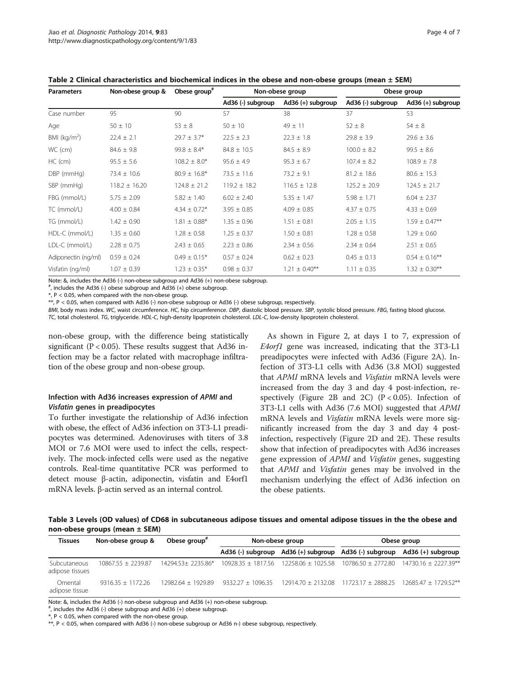<span id="page-3-0"></span>Table 2 Clinical characteristics and biochemical indices in the obese and non-obese groups (mean ± SEM)

| <b>Parameters</b>       | Non-obese group & | Obese group <sup>#</sup> | Non-obese group   |                     | Obese group       |                     |
|-------------------------|-------------------|--------------------------|-------------------|---------------------|-------------------|---------------------|
|                         |                   |                          | Ad36 (-) subgroup | $Ad36 (+)$ subgroup | Ad36 (-) subgroup | $Ad36 (+)$ subgroup |
| Case number             | 95                | 90                       | 57                | 38                  | 37                | 53                  |
| Age                     | $50 \pm 10$       | $53 \pm 8$               | $50 \pm 10$       | $49 \pm 11$         | $52 \pm 8$        | $54 \pm 8$          |
| BMI ( $\text{kg/m}^2$ ) | $22.4 \pm 2.1$    | $29.7 \pm 3.7$ *         | $22.5 \pm 2.3$    | $22.3 \pm 1.8$      | $29.8 \pm 3.9$    | $29.6 \pm 3.6$      |
| WC (cm)                 | $84.6 \pm 9.8$    | $99.8 \pm 8.4*$          | $84.8 \pm 10.5$   | $84.5 \pm 8.9$      | $100.0 \pm 8.2$   | $99.5 \pm 8.6$      |
| $HC$ (cm)               | $95.5 \pm 5.6$    | $108.2 \pm 8.0*$         | $95.6 \pm 4.9$    | $95.3 \pm 6.7$      | $107.4 \pm 8.2$   | $108.9 \pm 7.8$     |
| DBP (mmHg)              | $73.4 \pm 10.6$   | $80.9 \pm 16.8^*$        | $73.5 \pm 11.6$   | $73.2 \pm 9.1$      | $81.2 \pm 18.6$   | $80.6 \pm 15.3$     |
| SBP (mmHg)              | $118.2 \pm 16.20$ | $124.8 \pm 21.2$         | $119.2 \pm 18.2$  | $116.5 \pm 12.8$    | $125.2 \pm 20.9$  | $124.5 \pm 21.7$    |
| FBG (mmol/L)            | $5.75 \pm 2.09$   | $5.82 \pm 1.40$          | $6.02 \pm 2.40$   | $5.35 \pm 1.47$     | $5.98 \pm 1.71$   | $6.04 \pm 2.37$     |
| TC (mmol/L)             | $4.00 \pm 0.84$   | $4.34 \pm 0.72*$         | $3.95 \pm 0.85$   | $4.09 \pm 0.85$     | $4.37 \pm 0.75$   | $4.33 \pm 0.69$     |
| TG (mmol/L)             | $1.42 \pm 0.90$   | $1.81 \pm 0.88$ *        | $1.35 \pm 0.96$   | $1.51 \pm 0.81$     | $2.05 \pm 1.15$   | $1.59 \pm 0.47***$  |
| HDL-C (mmol/L)          | $1.35 \pm 0.60$   | $1.28 \pm 0.58$          | $1.25 \pm 0.37$   | $1.50 \pm 0.81$     | $1.28 \pm 0.58$   | $1.29 \pm 0.60$     |
| LDL-C (mmol/L)          | $2.28 \pm 0.75$   | $2.43 \pm 0.65$          | $2.23 \pm 0.86$   | $2.34 \pm 0.56$     | $2.34 \pm 0.64$   | $2.51 \pm 0.65$     |
| Adiponectin (ng/ml)     | $0.59 \pm 0.24$   | $0.49 \pm 0.15*$         | $0.57 \pm 0.24$   | $0.62 \pm 0.23$     | $0.45 \pm 0.13$   | $0.54 \pm 0.16***$  |
| Visfatin (ng/ml)        | $1.07 \pm 0.39$   | $1.23 \pm 0.35*$<br>.    | $0.98 \pm 0.37$   | $1.21 \pm 0.40***$  | $1.11 \pm 0.35$   | $1.32 \pm 0.30***$  |

Note: &, includes the Ad36 (-) non-obese subgroup and Ad36 (+) non-obese subgroup.

# , includes the Ad36 (-) obese subgroup and Ad36 (+) obese subgroup.

 $*$ , P < 0.05, when compared with the non-obese group.

\*\*, P < 0.05, when compared with Ad36 (-) non-obese subgroup or Ad36 (-) obese subgroup, respectively.

BMI, body mass index. WC, waist circumference. HC, hip circumference. DBP, diastolic blood pressure. SBP, systolic blood pressure. FBG, fasting blood glucose. TC, total cholesterol. TG, triglyceride. HDL-C, high-density lipoprotein cholesterol. LDL-C, low-density lipoprotein cholesterol.

non-obese group, with the difference being statistically significant ( $P < 0.05$ ). These results suggest that Ad36 infection may be a factor related with macrophage infiltration of the obese group and non-obese group.

# Infection with Ad36 increases expression of APMI and Visfatin genes in preadipocytes

To further investigate the relationship of Ad36 infection with obese, the effect of Ad36 infection on 3T3-L1 preadipocytes was determined. Adenoviruses with titers of 3.8 MOI or 7.6 MOI were used to infect the cells, respectively. The mock-infected cells were used as the negative controls. Real-time quantitative PCR was performed to detect mouse β-actin, adiponectin, visfatin and E4orf1 mRNA levels. β-actin served as an internal control.

As shown in Figure [2](#page-4-0), at days 1 to 7, expression of E4orf1 gene was increased, indicating that the 3T3-L1 preadipocytes were infected with Ad36 (Figure [2](#page-4-0)A). Infection of 3T3-L1 cells with Ad36 (3.8 MOI) suggested that APMI mRNA levels and Visfatin mRNA levels were increased from the day 3 and day 4 post-infection, re-spectively (Figure [2](#page-4-0)B and [2C](#page-4-0))  $(P < 0.05)$ . Infection of 3T3-L1 cells with Ad36 (7.6 MOI) suggested that APMI mRNA levels and Visfatin mRNA levels were more significantly increased from the day 3 and day 4 postinfection, respectively (Figure [2](#page-4-0)D and [2](#page-4-0)E). These results show that infection of preadipocytes with Ad36 increases gene expression of APMI and Visfatin genes, suggesting that APMI and Visfatin genes may be involved in the mechanism underlying the effect of Ad36 infection on the obese patients.

Table 3 Levels (OD values) of CD68 in subcutaneous adipose tissues and omental adipose tissues in the the obese and non-obese groups (mean ± SEM)

| <b>Tissues</b>                  | Non-obese group &    | Obese group"       | Non-obese group     |                                           | Obese group                                                          |                                                                         |
|---------------------------------|----------------------|--------------------|---------------------|-------------------------------------------|----------------------------------------------------------------------|-------------------------------------------------------------------------|
|                                 |                      |                    |                     |                                           |                                                                      | Ad36 (-) subgroup Ad36 (+) subgroup Ad36 (-) subgroup Ad36 (+) subgroup |
| Subcutaneous<br>adipose tissues | $10867.55 + 2239.87$ | 14294.53+2235.86*  |                     |                                           | $10928.35 \pm 1817.56$ $12258.06 \pm 1025.58$ $10786.50 \pm 2772.80$ | 14730.16 ± 2227.39**                                                    |
| Omental<br>adipose tissue       | $9316.35 + 1172.26$  | 12982.64 + 1929.89 | $9332.27 + 1096.35$ | $12914.70 + 2132.08$ $11723.17 + 2888.25$ |                                                                      | $12685.47 + 1729.52***$                                                 |

Note: &, includes the Ad36 (-) non-obese subgroup and Ad36 (+) non-obese subgroup.

# , includes the Ad36 (-) obese subgroup and Ad36 (+) obese subgroup.

 $*$ ,  $P < 0.05$ , when compared with the non-obese group.

 $**$ , P < 0.05, when compared with Ad36 (-) non-obese subgroup or Ad36 n-) obese subgroup, respectively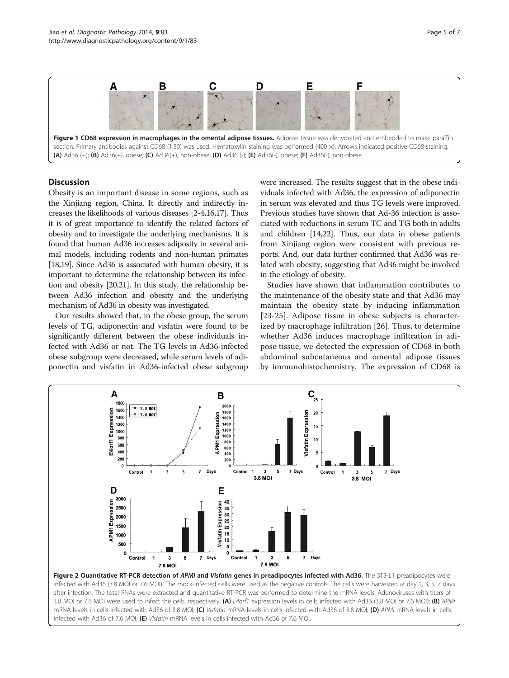<span id="page-4-0"></span>

# **Discussion**

Obesity is an important disease in some regions, such as the Xinjiang region, China. It directly and indirectly increases the likelihoods of various diseases [\[2](#page-5-0)-[4,16,17](#page-5-0)]. Thus it is of great importance to identify the related factors of obesity and to investigate the underlying mechanisms. It is found that human Ad36 increases adiposity in several animal models, including rodents and non-human primates [[18,19\]](#page-6-0). Since Ad36 is associated with human obesity, it is important to determine the relationship between its infection and obesity [\[20,21](#page-6-0)]. In this study, the relationship between Ad36 infection and obesity and the underlying mechanism of Ad36 in obesity was investigated.

Our results showed that, in the obese group, the serum levels of TG, adiponectin and visfatin were found to be significantly different between the obese individuals infected with Ad36 or not. The TG levels in Ad36-infected obese subgroup were decreased, while serum levels of adiponectin and visfatin in Ad36-infected obese subgroup were increased. The results suggest that in the obese individuals infected with Ad36, the expression of adiponectin in serum was elevated and thus TG levels were improved. Previous studies have shown that Ad-36 infection is associated with reductions in serum TC and TG both in adults and children [[14](#page-5-0)[,22](#page-6-0)]. Thus, our data in obese patients from Xinjiang region were consistent with previous reports. And, our data further confirmed that Ad36 was related with obesity, suggesting that Ad36 might be involved in the etiology of obesity.

Studies have shown that inflammation contributes to the maintenance of the obesity state and that Ad36 may maintain the obesity state by inducing inflammation [[23-25\]](#page-6-0). Adipose tissue in obese subjects is characterized by macrophage infiltration [[26\]](#page-6-0). Thus, to determine whether Ad36 induces macrophage infiltration in adipose tissue, we detected the expression of CD68 in both abdominal subcutaneous and omental adipose tissues by immunohistochemistry. The expression of CD68 is



infected with Ad36 (3.8 MOI or 7.6 MOI). The mock-infected cells were used as the negative controls. The cells were harvested at day 1, 3, 5, 7 days after infection. The total RNAs were extracted and quantitative RT-PCR was performed to determine the mRNA levels. Adenoviruses with titers of 3.8 MOI or 7.6 MOI were used to infect the cells, respectively. (A) E4orf1 expression levels in cells infected with Ad36 (3.8 MOI or 7.6 MOI); (B) APMI mRNA levels in cells infected with Ad36 of 3.8 MOI; (C) Visfatin mRNA levels in cells infected with Ad36 of 3.8 MOI; (D) APMI mRNA levels in cells infected with Ad36 of 7.6 MOI; (E) Visfatin mRNA levels in cells infected with Ad36 of 7.6 MOI.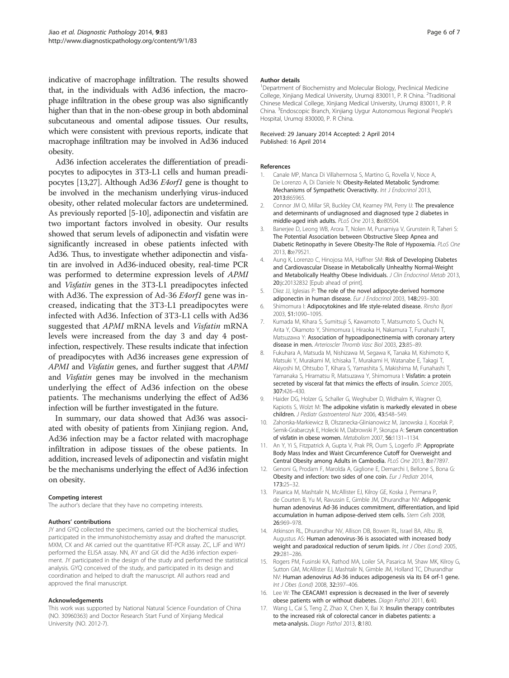<span id="page-5-0"></span>indicative of macrophage infiltration. The results showed that, in the individuals with Ad36 infection, the macrophage infiltration in the obese group was also significantly higher than that in the non-obese group in both abdominal subcutaneous and omental adipose tissues. Our results, which were consistent with previous reports, indicate that macrophage infiltration may be involved in Ad36 induced obesity.

Ad36 infection accelerates the differentiation of preadipocytes to adipocytes in 3T3-L1 cells and human preadipocytes [13[,27](#page-6-0)]. Although Ad36 E4orf1 gene is thought to be involved in the mechanism underlying virus-induced obesity, other related molecular factors are undetermined. As previously reported [5-10], adiponectin and visfatin are two important factors involved in obesity. Our results showed that serum levels of adiponectin and visfatin were significantly increased in obese patients infected with Ad36. Thus, to investigate whether adiponectin and visfatin are involved in Ad36-induced obesity, real-time PCR was performed to determine expression levels of APMI and Visfatin genes in the 3T3-L1 preadipocytes infected with Ad36. The expression of Ad-36 *E4orf1* gene was increased, indicating that the 3T3-L1 preadipocytes were infected with Ad36. Infection of 3T3-L1 cells with Ad36 suggested that APMI mRNA levels and Visfatin mRNA levels were increased from the day 3 and day 4 postinfection, respectively. These results indicate that infection of preadipocytes with Ad36 increases gene expression of APMI and Visfatin genes, and further suggest that APMI and Visfatin genes may be involved in the mechanism underlying the effect of Ad36 infection on the obese patients. The mechanisms underlying the effect of Ad36 infection will be further investigated in the future.

In summary, our data showed that Ad36 was associated with obesity of patients from Xinjiang region. And, Ad36 infection may be a factor related with macrophage infiltration in adipose tissues of the obese patients. In addition, increased levels of adiponectin and visfatin might be the mechanisms underlying the effect of Ad36 infection on obesity.

#### Competing interest

The author's declare that they have no competing interests.

#### Authors' contributions

JY and GYQ collected the specimens, carried out the biochemical studies, participated in the immunohistochemistry assay and drafted the manuscript. MXM, CX and AK carried out the quantitative RT-PCR assay. ZC, LJF and WYJ performed the ELISA assay. NN, AY and GX did the Ad36 infection experiment. JY participated in the design of the study and performed the statistical analysis. GYQ conceived of the study, and participated in its design and coordination and helped to draft the manuscript. All authors read and approved the final manuscript.

#### Acknowledgements

This work was supported by National Natural Science Foundation of China (NO. 30960363) and Doctor Research Start Fund of Xinjiang Medical University (NO. 2012-7).

#### Author details

<sup>1</sup>Department of Biochemistry and Molecular Biology, Preclinical Medicine College, Xinjiang Medical University, Urumqi 830011, P. R China. <sup>2</sup>Traditional Chinese Medical College, Xinjiang Medical University, Urumqi 830011, P. R China. <sup>3</sup> Endoscopic Branch, Xinjiang Uygur Autonomous Regional People's Hospital, Urumqi 830000, P. R China.

#### Received: 29 January 2014 Accepted: 2 April 2014 Published: 16 April 2014

#### References

- 1. Canale MP, Manca Di Villahermosa S, Martino G, Rovella V, Noce A, De Lorenzo A, Di Daniele N: Obesity-Related Metabolic Syndrome: Mechanisms of Sympathetic Overactivity. Int J Endocrinol 2013, 2013:865965.
- 2. Connor JM O, Millar SR, Buckley CM, Kearney PM, Perry IJ: The prevalence and determinants of undiagnosed and diagnosed type 2 diabetes in middle-aged irish adults. PLoS One 2013, 8:e80504.
- 3. Banerjee D, Leong WB, Arora T, Nolen M, Punamiya V, Grunstein R, Taheri S: The Potential Association between Obstructive Sleep Apnea and Diabetic Retinopathy in Severe Obesity-The Role of Hypoxemia. PLoS One 2013, 8:e79521.
- 4. Aung K, Lorenzo C, Hinojosa MA, Haffner SM: Risk of Developing Diabetes and Cardiovascular Disease in Metabolically Unhealthy Normal-Weight and Metabolically Healthy Obese Individuals. J Clin Endocrinol Metab 2013, 20:jc20132832 [Epub ahead of print].
- 5. Díez JJ, Iglesias P: The role of the novel adipocyte-derived hormone adiponectin in human disease. Eur J Endocrinol 2003, 148:293–300.
- 6. Shimomura I: Adipocytokines and life style-related disease. Rinsho Byori 2003, 51:1090–1095.
- 7. Kumada M, Kihara S, Sumitsuji S, Kawamoto T, Matsumoto S, Ouchi N, Arita Y, Okamoto Y, Shimomura I, Hiraoka H, Nakamura T, Funahashi T, Matsuzawa Y: Association of hypoadiponectinemia with coronary artery disease in men. Arterioscler Thromb Vasc Biol 2003, 23:85–89.
- 8. Fukuhara A, Matsuda M, Nishizawa M, Segawa K, Tanaka M, Kishimoto K, Matsuki Y, Murakami M, Ichisaka T, Murakami H, Watanabe E, Takagi T, Akiyoshi M, Ohtsubo T, Kihara S, Yamashita S, Makishima M, Funahashi T, Yamanaka S, Hiramatsu R, Matsuzawa Y, Shimomura I: Visfatin: a protein secreted by visceral fat that mimics the effects of insulin. Science 2005, 307:426–430.
- 9. Haider DG, Holzer G, Schaller G, Weghuber D, Widhalm K, Wagner O, Kapiotis S, Wolzt M: The adipokine visfatin is markedly elevated in obese children. J Pediatr Gastroenterol Nutr 2006, 43:548–549.
- 10. Zahorska-Markiewicz B, Olszanecka-Glinianowicz M, Janowska J, Kocełak P, Semik-Grabarczyk E, Holecki M, Dabrowski P, Skorupa A: Serum concentration of visfatin in obese women. Metabolism 2007, 56:1131–1134.
- 11. An Y, Yi S, Fitzpatrick A, Gupta V, Prak PR, Oum S, Logerfo JP: Appropriate Body Mass Index and Waist Circumference Cutoff for Overweight and Central Obesity among Adults in Cambodia. PLoS One 2013, 8:e77897.
- 12. Genoni G, Prodam F, Marolda A, Giglione E, Demarchi I, Bellone S, Bona G: Obesity and infection: two sides of one coin. Eur J Pediatr 2014, 173:25–32.
- 13. Pasarica M, Mashtalir N, McAllister EJ, Kilroy GE, Koska J, Permana P, de Courten B, Yu M, Ravussin E, Gimble JM, Dhurandhar NV: Adipogenic human adenovirus Ad-36 induces commitment, differentiation, and lipid accumulation in human adipose-derived stem cells. Stem Cells 2008, 26:969–978.
- 14. Atkinson RL, Dhurandhar NV, Allison DB, Bowen RL, Israel BA, Albu JB, Augustus AS: Human adenovirus-36 is associated with increased body weight and paradoxical reduction of serum lipids. Int J Obes (Lond) 2005, 29:281–286.
- 15. Rogers PM, Fusinski KA, Rathod MA, Loiler SA, Pasarica M, Shaw MK, Kilroy G, Sutton GM, McAllister EJ, Mashtalir N, Gimble JM, Holland TC, Dhurandhar NV: Human adenovirus Ad-36 induces adipogenesis via its E4 orf-1 gene. Int J Obes (Lond) 2008, 32:397–406.
- 16. Lee W: The CEACAM1 expression is decreased in the liver of severely obese patients with or without diabetes. Diagn Pathol 2011, 6:40.
- 17. Wang L, Cai S, Teng Z, Zhao X, Chen X, Bai X: Insulin therapy contributes to the increased risk of colorectal cancer in diabetes patients: a meta-analysis. Diagn Pathol 2013, 8:180.